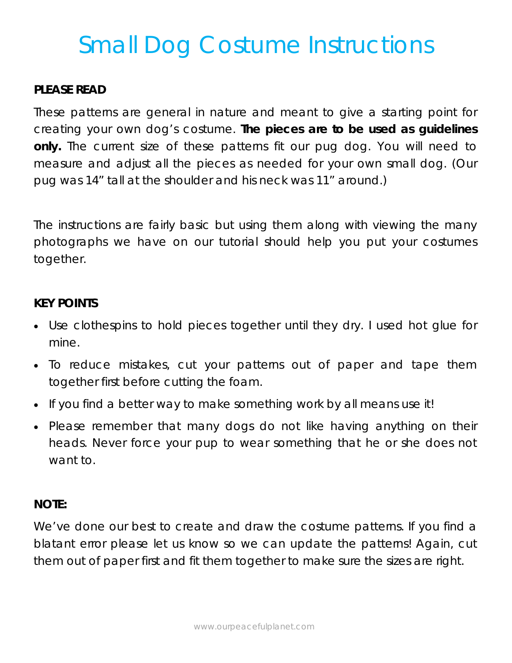## Small Dog Costume Instructions

#### **PLEASE READ**

These patterns are general in nature and meant to give a starting point for creating your own dog's costume. *The pieces are to be used as guidelines only.* The current size of these patterns fit our pug dog. You will need to measure and adjust all the pieces as needed for your own small dog. (Our pug was 14" tall at the shoulder and his neck was 11" around.)

The instructions are fairly basic but using them along with viewing the many photographs we have on our tutorial should help you put your costumes together.

#### **KEY POINTS**

- Use clothespins to hold pieces together until they dry. I used hot glue for mine.
- To reduce mistakes, cut your patterns out of paper and tape them together first before cutting the foam.
- If you find a better way to make something work by all means use it!
- Please remember that many dogs do not like having anything on their heads. Never force your pup to wear something that he or she does not want to.

#### **NOTE:**

We've done our best to create and draw the costume patterns. If you find a blatant error please let us know so we can update the patterns! Again, cut them out of paper first and fit them together to make sure the sizes are right.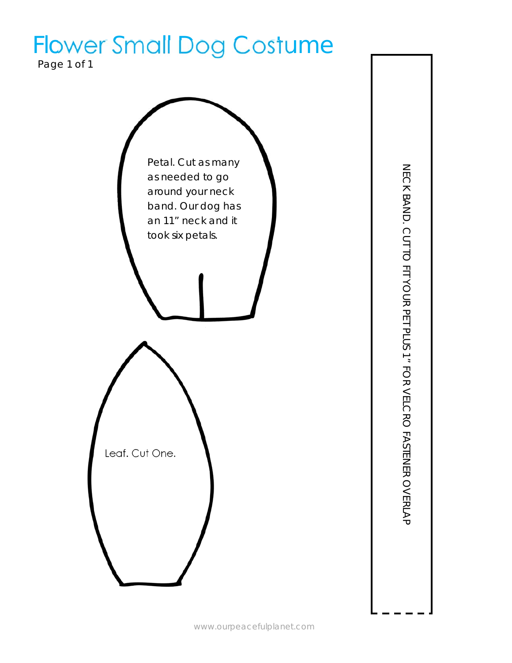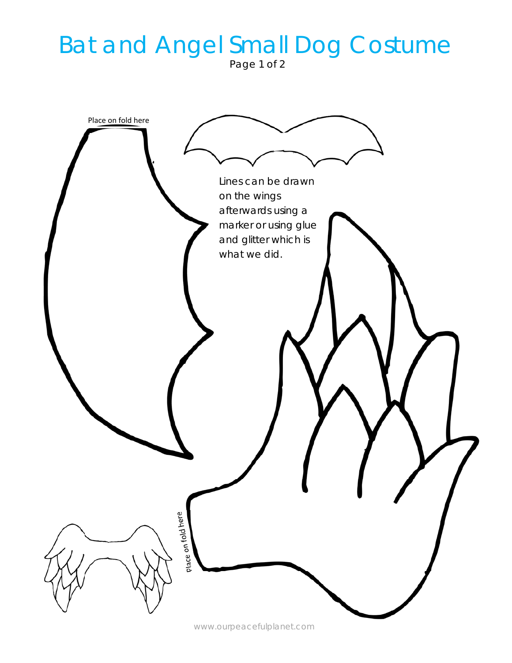## Bat and Angel Small Dog Costume

Page 1 of 2



www.ourpeacefulplanet.com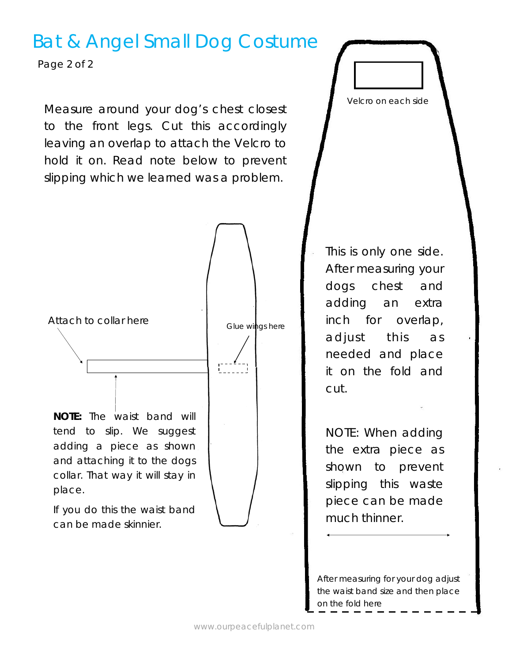### Bat & Angel Small Dog Costume

Page 2 of 2

Measure around your dog's chest closest to the front legs. Cut this accordingly leaving an overlap to attach the Velcro to hold it on. Read note below to prevent slipping which we learned was a problem.



This is only one side. After measuring your dogs chest and adding an extra inch for overlap, adjust this as needed and place it on the fold and cut.

Velcro on each side

NOTE: When adding the extra piece as shown to prevent slipping this waste piece can be made much thinner.

After measuring for your dog adjust the waist band size and then place on the fold here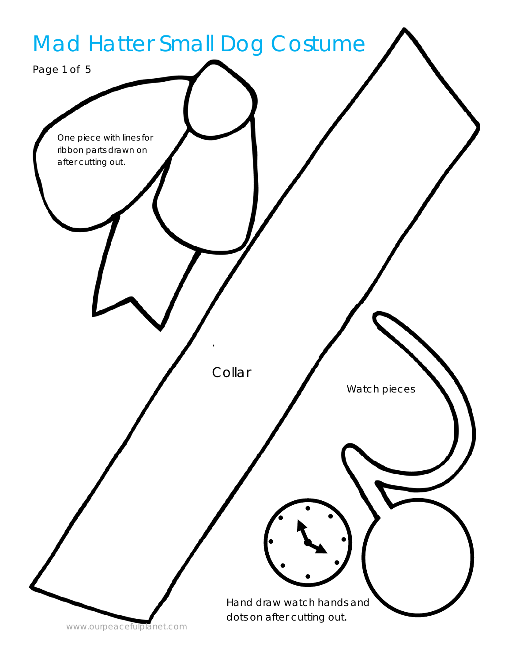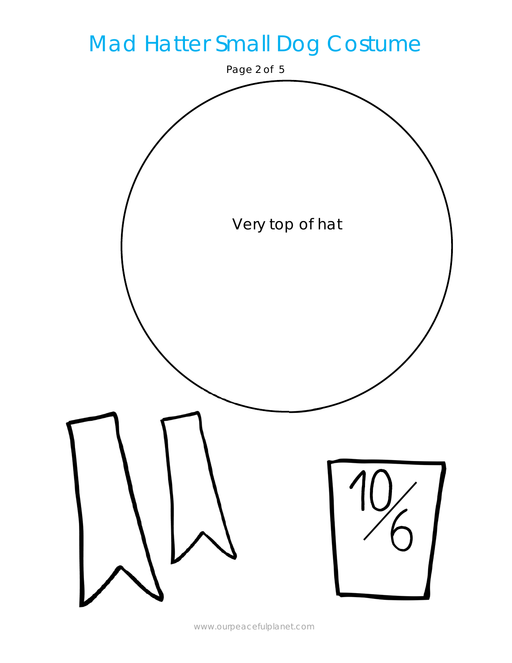

www.ourpeacefulplanet.com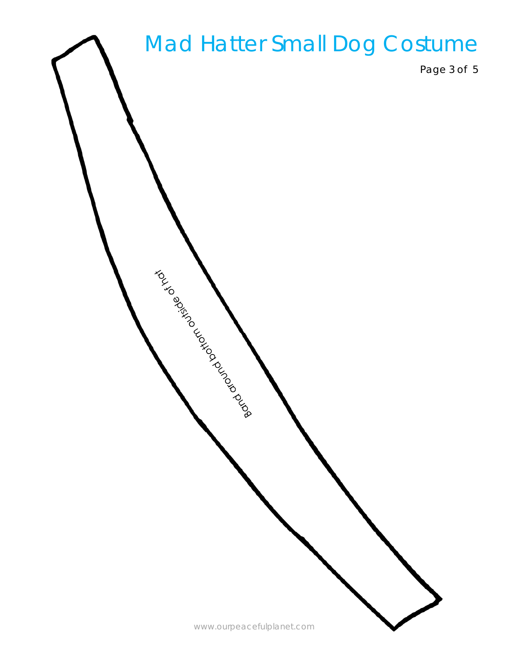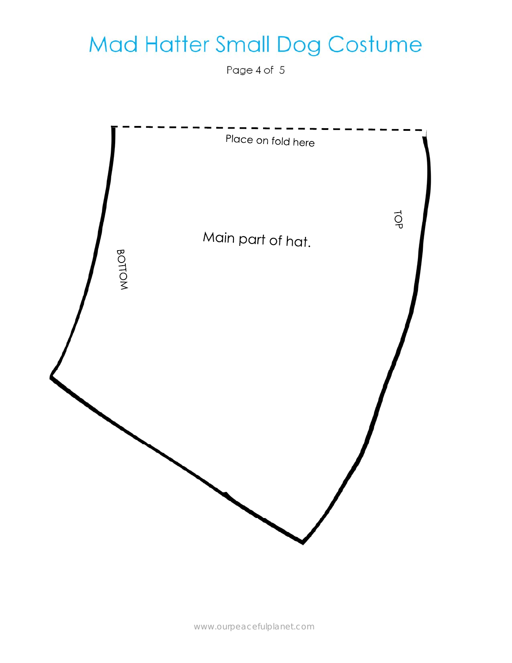### Mad Hatter Small Dog Costume

Page 4 of 5

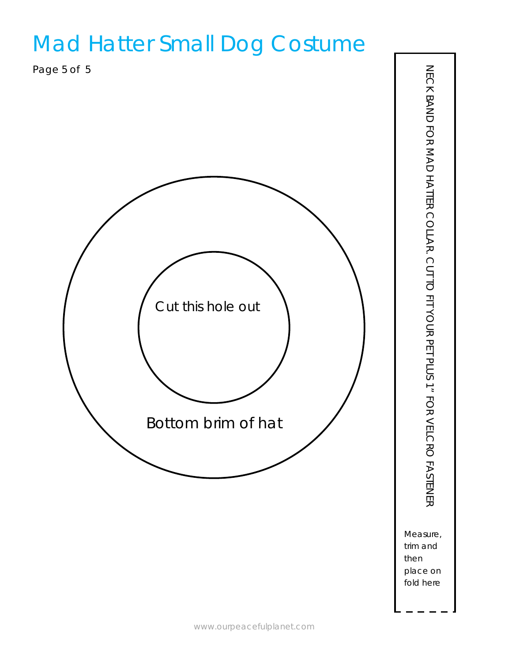### Mad Hatter Small Dog Costume

Page 5 of 5



Measure, trim and then place on fold here

NECK BAND FOR MAD HATTER COLLAR. CUT TO FIT YOUR PET PLUS 1" FOR VELCRO FASTENER NECK BAND FOR MAD HATTER COLLAR. CUT TO FIT YOUR PET PLUS 1" FOR VELCRO FASTENER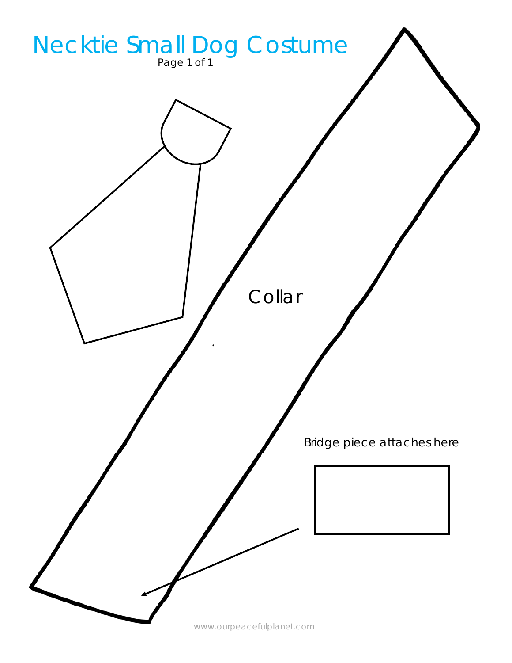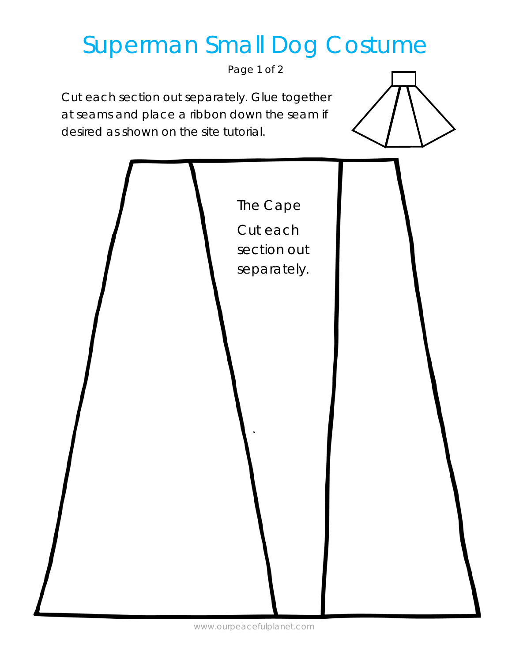## Superman Small Dog Costume

Page 1 of 2

Cut each section out separately. Glue together at seams and place a ribbon down the seam if desired as shown on the site tutorial.

| The Cape<br>Cut each<br>section out<br>separately. |  |
|----------------------------------------------------|--|
|                                                    |  |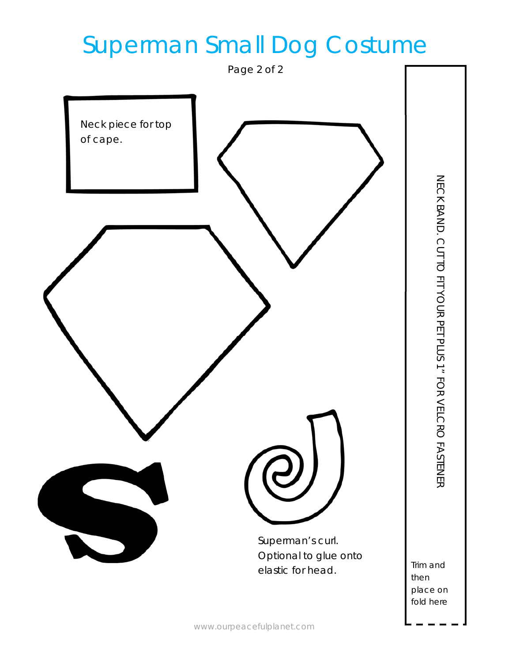## Superman Small Dog Costume



place on

fold here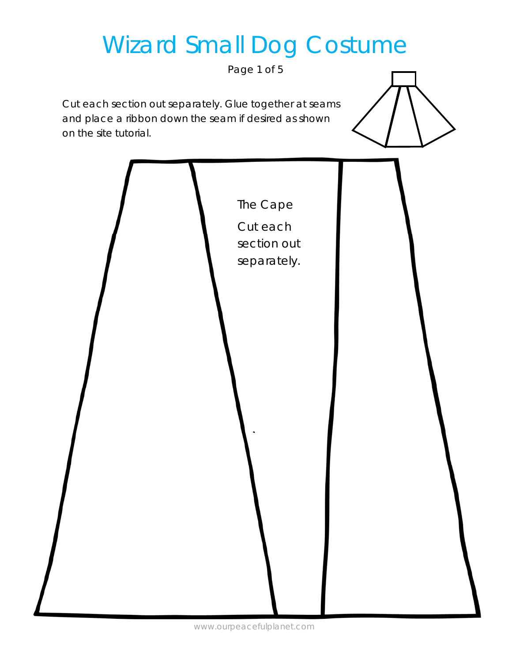# Wizard Small Dog Costume

Page 1 of 5

Cut each section out separately. Glue together at seams and place a ribbon down the seam if desired as shown on the site tutorial.

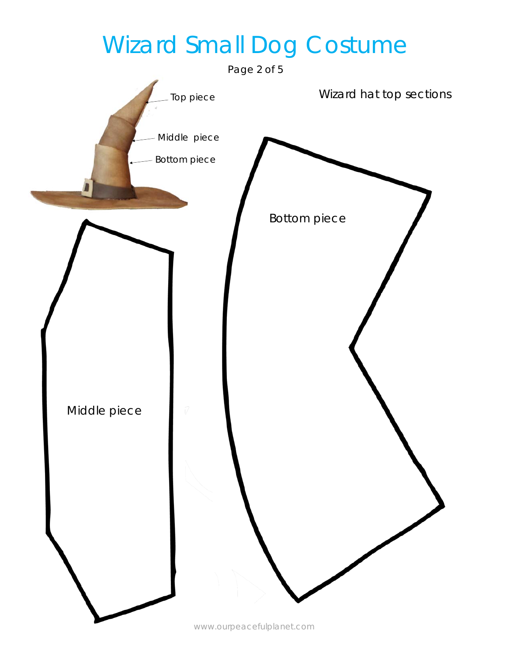## Wizard Small Dog Costume

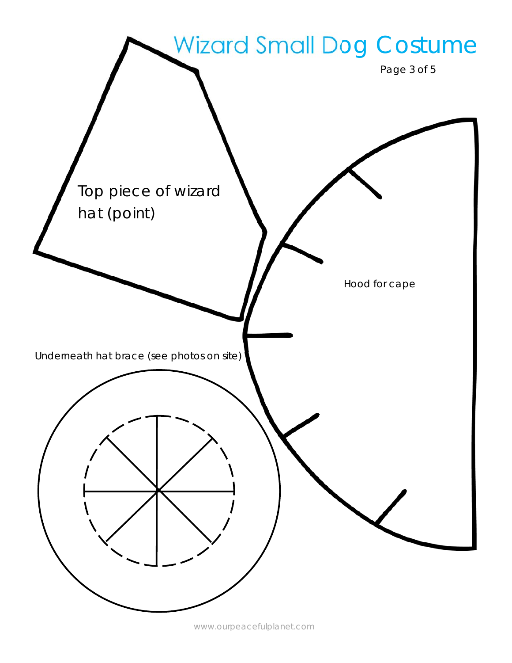

www.ourpeacefulplanet.com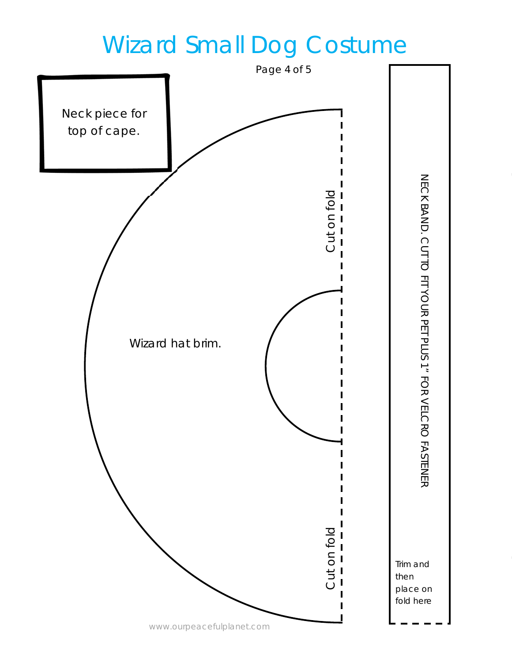## Wizard Small Dog Costume